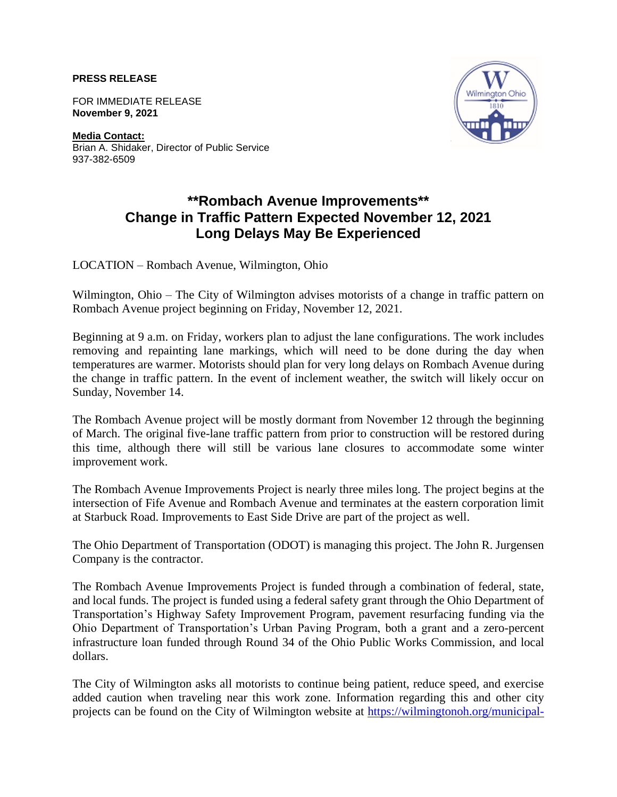**PRESS RELEASE**

FOR IMMEDIATE RELEASE **November 9, 2021**

**Media Contact:** Brian A. Shidaker, Director of Public Service 937-382-6509



## **\*\*Rombach Avenue Improvements\*\* Change in Traffic Pattern Expected November 12, 2021 Long Delays May Be Experienced**

LOCATION – Rombach Avenue, Wilmington, Ohio

Wilmington, Ohio – The City of Wilmington advises motorists of a change in traffic pattern on Rombach Avenue project beginning on Friday, November 12, 2021.

Beginning at 9 a.m. on Friday, workers plan to adjust the lane configurations. The work includes removing and repainting lane markings, which will need to be done during the day when temperatures are warmer. Motorists should plan for very long delays on Rombach Avenue during the change in traffic pattern. In the event of inclement weather, the switch will likely occur on Sunday, November 14.

The Rombach Avenue project will be mostly dormant from November 12 through the beginning of March. The original five-lane traffic pattern from prior to construction will be restored during this time, although there will still be various lane closures to accommodate some winter improvement work.

The Rombach Avenue Improvements Project is nearly three miles long. The project begins at the intersection of Fife Avenue and Rombach Avenue and terminates at the eastern corporation limit at Starbuck Road. Improvements to East Side Drive are part of the project as well.

The Ohio Department of Transportation (ODOT) is managing this project. The John R. Jurgensen Company is the contractor.

The Rombach Avenue Improvements Project is funded through a combination of federal, state, and local funds. The project is funded using a federal safety grant through the Ohio Department of Transportation's Highway Safety Improvement Program, pavement resurfacing funding via the Ohio Department of Transportation's Urban Paving Program, both a grant and a zero-percent infrastructure loan funded through Round 34 of the Ohio Public Works Commission, and local dollars.

The City of Wilmington asks all motorists to continue being patient, reduce speed, and exercise added caution when traveling near this work zone. Information regarding this and other city projects can be found on the City of Wilmington website at [https://wilmingtonoh.org/municipal-](https://wilmingtonoh.org/municipal-services/city-projects/)